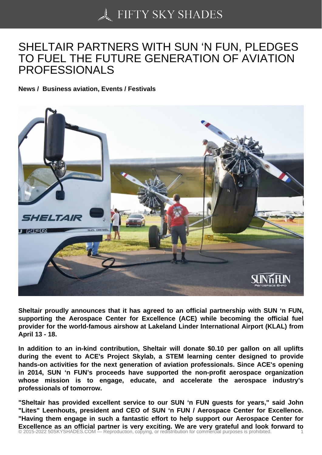## [SHELTAIR PARTNERS](https://50skyshades.com) WITH SUN 'N FUN, PLEDGES TO FUEL THE FUTURE GENERATION OF AVIATION PROFESSIONALS

News / Business aviation, Events / Festivals

Sheltair proudly announces that it has agreed to an official partnership with SUN 'n FUN, supporting the Aerospace Center for Excellence (ACE) while becoming the official fuel provider for the world-famous airshow at Lakeland Linder International Airport (KLAL) from April 13 - 18.

In addition to an in-kind contribution, Sheltair will donate \$0.10 per gallon on all uplifts during the event to ACE's Project Skylab, a STEM learning center designed to provide hands-on activities for the next generation of aviation professionals. Since ACE's opening in 2014, SUN 'n FUN's proceeds have supported the non-profit aerospace organization whose mission is to engage, educate, and accelerate the aerospace industry's professionals of tomorrow.

"Sheltair has provided excellent service to our SUN 'n FUN guests for years," said John "Lites" Leenhouts, president and CEO of SUN 'n FUN / Aerospace Center for Excellence. "Having them engage in such a fantastic effort to help support our Aerospace Center for Excellence as an official partner is very exciting. We are very grateful and look forward to<br>© 2015-2022 50SKYSHADES.COM — Reproduction, copying, or redistribution for commercial purposes is prohibited.